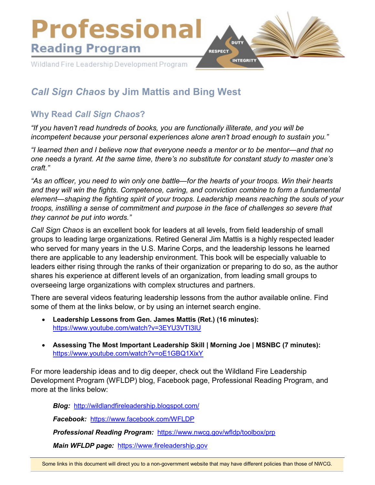

# *Call Sign Chaos* **by Jim Mattis and Bing West**

# **Why Read** *Call Sign Chaos***?**

*"If you haven't read hundreds of books, you are functionally illiterate, and you will be incompetent because your personal experiences alone aren't broad enough to sustain you."*

*"I learned then and I believe now that everyone needs a mentor or to be mentor—and that no one needs a tyrant. At the same time, there's no substitute for constant study to master one's craft."*

*"As an officer, you need to win only one battle—for the hearts of your troops. Win their hearts and they will win the fights. Competence, caring, and conviction combine to form a fundamental element—shaping the fighting spirit of your troops. Leadership means reaching the souls of your troops, instilling a sense of commitment and purpose in the face of challenges so severe that they cannot be put into words."*

*Call Sign Chaos* is an excellent book for leaders at all levels, from field leadership of small groups to leading large organizations. Retired General Jim Mattis is a highly respected leader who served for many years in the U.S. Marine Corps, and the leadership lessons he learned there are applicable to any leadership environment. This book will be especially valuable to leaders either rising through the ranks of their organization or preparing to do so, as the author shares his experience at different levels of an organization, from leading small groups to overseeing large organizations with complex structures and partners.

There are several videos featuring leadership lessons from the author available online. Find some of them at the links below, or by using an internet search engine.

- **Leadership Lessons from Gen. James Mattis (Ret.) (16 minutes):**  <https://www.youtube.com/watch?v=3EYU3VTI3IU>
- **Assessing The Most Important Leadership Skill | Morning Joe | MSNBC (7 minutes):**  <https://www.youtube.com/watch?v=oE1GBQ1XixY>

For more leadership ideas and to dig deeper, check out the Wildland Fire Leadership Development Program (WFLDP) blog, Facebook page, Professional Reading Program, and more at the links below:

*Blog:* <http://wildlandfireleadership.blogspot.com/>

*Facebook:* <https://www.facebook.com/WFLDP>

*Professional Reading Program:* <https://www.nwcg.gov/wfldp/toolbox/prp>

*Main WFLDP page:* [https://www.fireleadership.gov](https://www.fireleadership.gov/)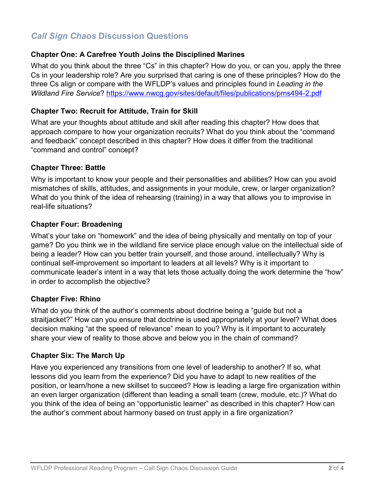# *Call Sign Chaos* **Discussion Questions**

#### **Chapter One: A Carefree Youth Joins the Disciplined Marines**

What do you think about the three "Cs" in this chapter? How do you, or can you, apply the three Cs in your leadership role? Are you surprised that caring is one of these principles? How do the three Cs align or compare with the WFLDP's values and principles found in *Leading in the Wildland Fire Service*?<https://www.nwcg.gov/sites/default/files/publications/pms494-2.pdf>

# **Chapter Two: Recruit for Attitude, Train for Skill**

What are your thoughts about attitude and skill after reading this chapter? How does that approach compare to how your organization recruits? What do you think about the "command and feedback" concept described in this chapter? How does it differ from the traditional "command and control" concept?

#### **Chapter Three: Battle**

Why is important to know your people and their personalities and abilities? How can you avoid mismatches of skills, attitudes, and assignments in your module, crew, or larger organization? What do you think of the idea of rehearsing (training) in a way that allows you to improvise in real-life situations?

#### **Chapter Four: Broadening**

What's your take on "homework" and the idea of being physically and mentally on top of your game? Do you think we in the wildland fire service place enough value on the intellectual side of being a leader? How can you better train yourself, and those around, intellectually? Why is continual self-improvement so important to leaders at all levels? Why is it important to communicate leader's intent in a way that lets those actually doing the work determine the "how" in order to accomplish the objective?

#### **Chapter Five: Rhino**

What do you think of the author's comments about doctrine being a "guide but not a straitjacket?" How can you ensure that doctrine is used appropriately at your level? What does decision making "at the speed of relevance" mean to you? Why is it important to accurately share your view of reality to those above and below you in the chain of command?

# **Chapter Six: The March Up**

Have you experienced any transitions from one level of leadership to another? If so, what lessons did you learn from the experience? Did you have to adapt to new realities of the position, or learn/hone a new skillset to succeed? How is leading a large fire organization within an even larger organization (different than leading a small team (crew, module, etc.)? What do you think of the idea of being an "opportunistic learner" as described in this chapter? How can the author's comment about harmony based on trust apply in a fire organization?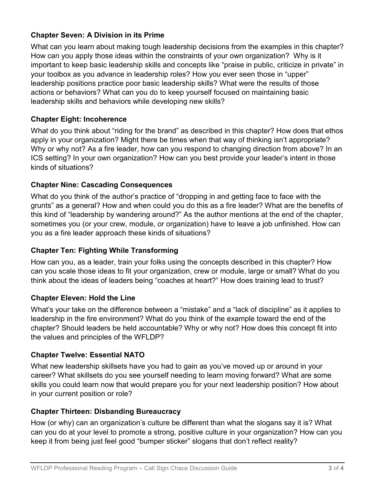# **Chapter Seven: A Division in its Prime**

What can you learn about making tough leadership decisions from the examples in this chapter? How can you apply those ideas within the constraints of your own organization? Why is it important to keep basic leadership skills and concepts like "praise in public, criticize in private" in your toolbox as you advance in leadership roles? How you ever seen those in "upper" leadership positions practice poor basic leadership skills? What were the results of those actions or behaviors? What can you do to keep yourself focused on maintaining basic leadership skills and behaviors while developing new skills?

# **Chapter Eight: Incoherence**

What do you think about "riding for the brand" as described in this chapter? How does that ethos apply in your organization? Might there be times when that way of thinking isn't appropriate? Why or why not? As a fire leader, how can you respond to changing direction from above? In an ICS setting? In your own organization? How can you best provide your leader's intent in those kinds of situations?

# **Chapter Nine: Cascading Consequences**

What do you think of the author's practice of "dropping in and getting face to face with the grunts" as a general? How and when could you do this as a fire leader? What are the benefits of this kind of "leadership by wandering around?" As the author mentions at the end of the chapter, sometimes you (or your crew, module, or organization) have to leave a job unfinished. How can you as a fire leader approach these kinds of situations?

# **Chapter Ten: Fighting While Transforming**

How can you, as a leader, train your folks using the concepts described in this chapter? How can you scale those ideas to fit your organization, crew or module, large or small? What do you think about the ideas of leaders being "coaches at heart?" How does training lead to trust?

# **Chapter Eleven: Hold the Line**

What's your take on the difference between a "mistake" and a "lack of discipline" as it applies to leadership in the fire environment? What do you think of the example toward the end of the chapter? Should leaders be held accountable? Why or why not? How does this concept fit into the values and principles of the WFLDP?

# **Chapter Twelve: Essential NATO**

What new leadership skillsets have you had to gain as you've moved up or around in your career? What skillsets do you see yourself needing to learn moving forward? What are some skills you could learn now that would prepare you for your next leadership position? How about in your current position or role?

# **Chapter Thirteen: Disbanding Bureaucracy**

How (or why) can an organization's culture be different than what the slogans say it is? What can you do at your level to promote a strong, positive culture in your organization? How can you keep it from being just feel good "bumper sticker" slogans that don't reflect reality?